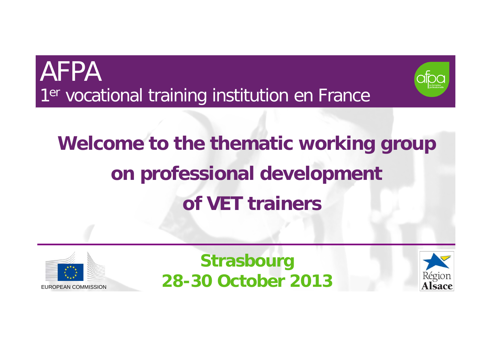



# **Welcome to the thematic working group on professional development of VET trainers**



**Strasbourg 28-30 October 2013**

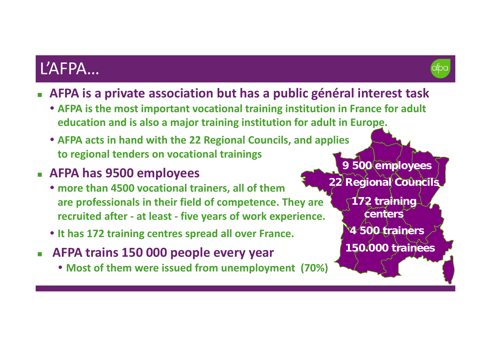### L'AFPA…

- 
- **AFPA is <sup>a</sup> private association but has <sup>a</sup> public général interest task**
	- **AFPA is the most important vocational training institution in France for adult education and is also <sup>a</sup> major training institution for adult in Europe.**
	- **AFPA acts in hand with the 22 Regional Councils, and applies to regional tenders on vocational trainings**
- **AFPA has 9500 employees**
	- **more than 4500 vocational trainers, all of them are professionals in their field of competence. They are recruited after ‐ at least ‐ five years of work experience.**
	- **It has 172 training centres spread all over France.**
- **AFPA trains 150 000 people every year**
	- **Most of them were issued from unemployment (70%)**

**9 500 employees 22 Regional Councils**

> **172 training centers4 500 trainers 150.000 trainees**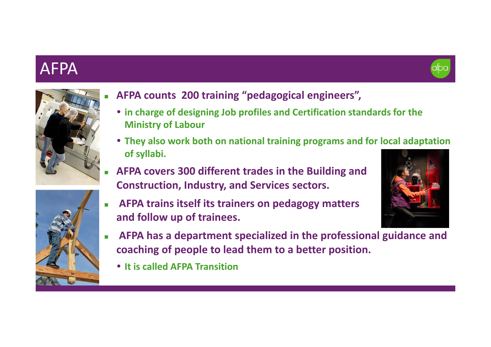#### AFPA





- **AFPA counts 200 training "pedagogical engineers",**
- **in charge of designing Job profiles and Certification standards for the Ministry of Labour**
- **They also work both on national training programs and for local adaptation of syllabi.**
- **AFPA covers 300 different trades in the Building and Construction, Industry, and Services sectors.**
- **AFPA trains itself its trainers on pedagogy matters and follow up of trainees.**



- П **AFPA has <sup>a</sup> department specialized in the professional guidance and coaching of people to lead them to <sup>a</sup> better position.**
	- **It is called AFPA Transition**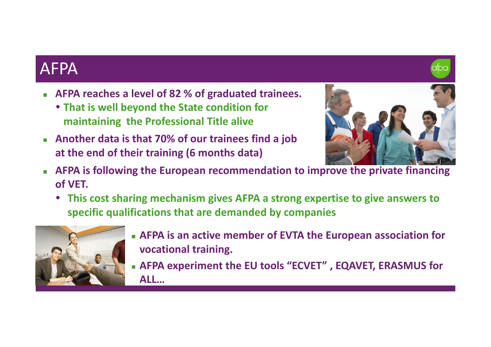#### AFPA

- **AFPA reaches <sup>a</sup> level of 82 % of graduated trainees.**
	- **That is well beyond the State condition for maintaining the Professional Title alive**
- **Another data is that 70% of our trainees find <sup>a</sup> job at the end of their training (6 months data)**



- $\mathcal{L}_{\mathcal{A}}$  **AFPA is following the European recommendation to improve the private financing of VET.**
	- **This cost sharing mechanism gives AFPA <sup>a</sup> strong expertise to give answers to specific qualifications that are demanded by companies**



- **AFPA is an active member of EVTA the European association for vocational training.**
- **AFPA experiment the EU tools "ECVET" , EQAVET, ERASMUS for ALL…**